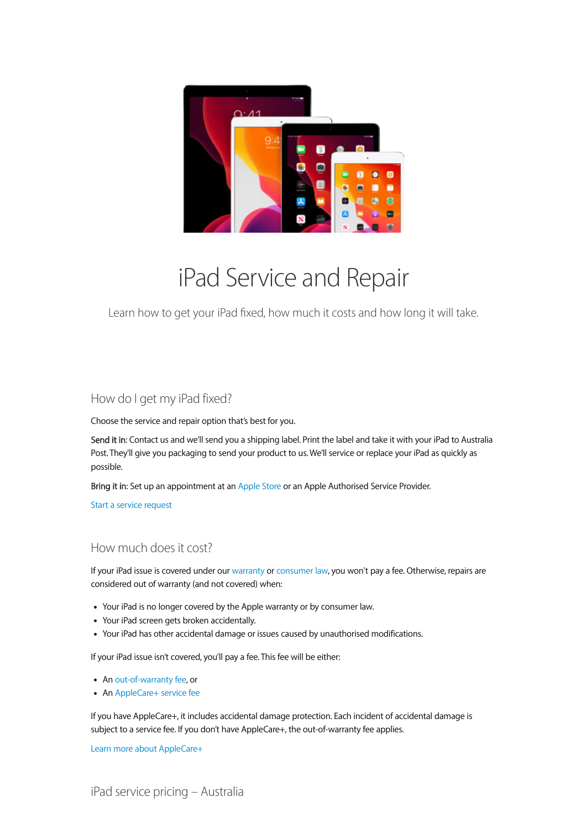

# iPad Service and Repair

Learn how to get your iPad fixed, how much it costs and how long it will take.

# How do I get my iPad fixed?

Choose the service and repair option that's best for you.

 Send it in: Contact us and we'll send you a shipping label. Print the label and take it with your iPad to Australia Post. They'll give you packaging to send your product to us. We'll service or replace your iPad as quickly as possible.

Bring it in: Set up an appointment at an Apple Store or an Apple Authorised Service Provider.

Start a service request

# How much does it cost?

 If your iPad issue is covered under our warranty or consumer law, you won't pay a fee. Otherwise, repairs are considered out of warranty (and not covered) when:

- Your iPad is no longer covered by the Apple warranty or by consumer law.
- Your iPad screen gets broken accidentally.
- Your iPad has other accidental damage or issues caused by unauthorised modifications.

If your iPad issue isn't covered, you'll pay a fee. This fee will be either:

- An out-of-warranty fee, or
- An AppleCare+ service fee

 If you have AppleCare+, it includes accidental damage protection. Each incident of accidental damage is subject to a service fee. If you don't have AppleCare+, the out-of-warranty fee applies.

Learn more about AppleCare+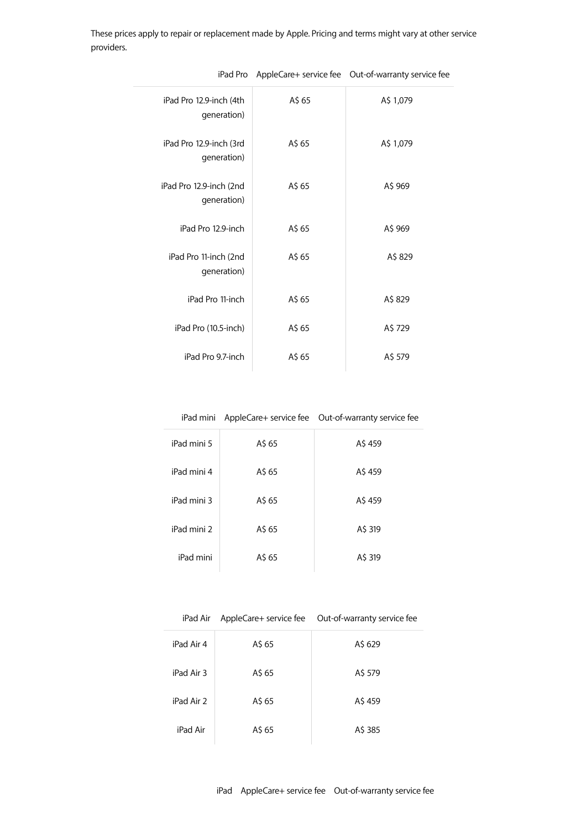These prices apply to repair or replacement made by Apple. Pricing and terms might vary at other service providers.

| iPad Pro 12.9-inch (4th<br>generation) | A\$ 65 | A\$ 1,079 |
|----------------------------------------|--------|-----------|
| iPad Pro 12.9-inch (3rd<br>generation) | A\$ 65 | A\$ 1,079 |
| iPad Pro 12.9-inch (2nd<br>generation) | A\$ 65 | A\$ 969   |
| iPad Pro 12.9-inch                     | A\$ 65 | A\$ 969   |
| iPad Pro 11-inch (2nd<br>generation)   | A\$ 65 | A\$ 829   |
| iPad Pro 11-inch                       | A\$ 65 | A\$ 829   |
| iPad Pro (10.5-inch)                   | A\$ 65 | A\$ 729   |
| iPad Pro 9.7-inch                      | A\$ 65 | A\$ 579   |
|                                        |        |           |

iPad Pro AppleCare+ service fee Out-of-warranty service fee

|             |        | iPad mini AppleCare+ service fee Out-of-warranty service fee |
|-------------|--------|--------------------------------------------------------------|
| iPad mini 5 | A\$ 65 | A\$ 459                                                      |
| iPad mini 4 | A\$ 65 | A\$459                                                       |
| iPad mini 3 | A\$ 65 | A\$459                                                       |
| iPad mini 2 | A\$ 65 | A\$ 319                                                      |
| iPad mini   | A\$ 65 | A\$ 319                                                      |

| iPad Air   |        | AppleCare+ service fee    Out-of-warranty service fee |
|------------|--------|-------------------------------------------------------|
| iPad Air 4 | A\$ 65 | A\$ 629                                               |
| iPad Air 3 | A\$ 65 | A\$ 579                                               |
| iPad Air 2 | A\$ 65 | A\$ 459                                               |
| iPad Air   | A\$ 65 | A\$ 385                                               |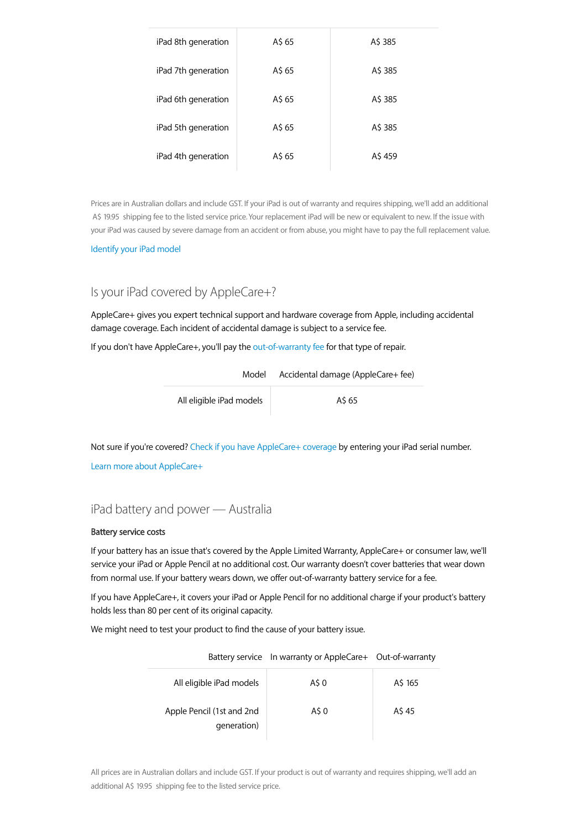| iPad 8th generation | A\$ 65 | A\$ 385 |
|---------------------|--------|---------|
| iPad 7th generation | A\$ 65 | A\$ 385 |
| iPad 6th generation | A\$ 65 | A\$ 385 |
| iPad 5th generation | A\$ 65 | A\$ 385 |
| iPad 4th generation | A\$ 65 | A\$ 459 |

 Prices are in Australian dollars and include GST. If your iPad is out of warranty and requires shipping, we'll add an additional A\$ 19.95 shipping fee to the listed service price. Your replacement iPad will be new or equivalent to new. If the issue with your iPad was caused by severe damage from an accident or from abuse, you might have to pay the full replacement value.

Identify your iPad model

## Is your iPad covered by AppleCare+?

 AppleCare+ gives you expert technical support and hardware coverage from Apple, including accidental damage coverage. Each incident of accidental damage is subject to a service fee.

If you don't have AppleCare+, you'll pay the out-of-warranty fee for that type of repair.

| Model                    | Accidental damage (AppleCare+ fee) |
|--------------------------|------------------------------------|
| All eligible iPad models | A\$ 65                             |

 Not sure if you're covered? Check if you have AppleCare+ coverage by entering your iPad serial number. Learn more about AppleCare+

## iPad battery and power — Australia

#### Battery service costs

 If your battery has an issue that's covered by the Apple Limited Warranty, AppleCare+ or consumer law, we'll service your iPad or Apple Pencil at no additional cost. Our warranty doesn't cover batteries that wear down from normal use. If your battery wears down, we offer out-of-warranty battery service for a fee.

 If you have AppleCare+, it covers your iPad or Apple Pencil for no additional charge if your product's battery holds less than 80 per cent of its original capacity.

We might need to test your product to find the cause of your battery issue.

|                                          | Battery service In warranty or AppleCare+ Out-of-warranty |         |
|------------------------------------------|-----------------------------------------------------------|---------|
| All eligible iPad models                 | A\$ 0                                                     | A\$ 165 |
| Apple Pencil (1st and 2nd<br>generation) | A\$ 0                                                     | A\$ 45  |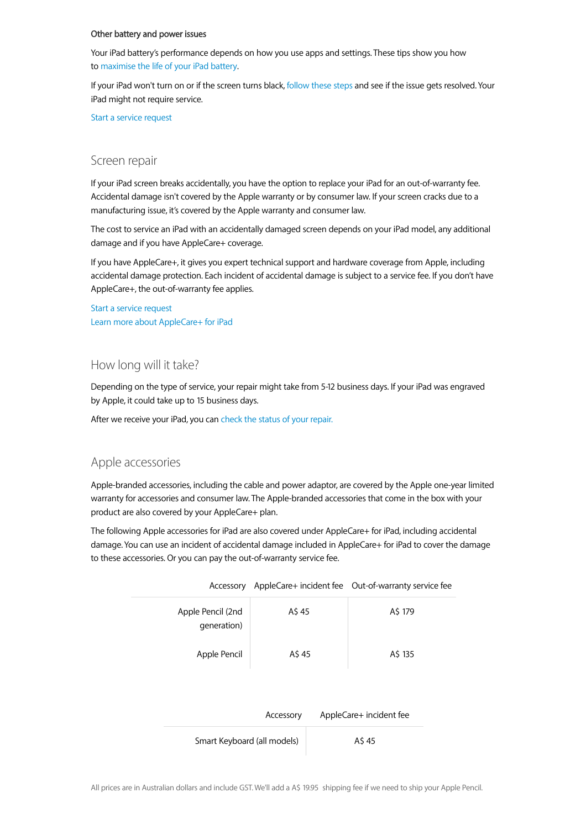#### Other battery and power issues

 Your iPad battery's performance depends on how you use apps and settings. These tips show you how to maximise the life of your iPad battery.

 If your iPad won't turn on or if the screen turns black, follow these steps and see if the issue gets resolved. Your iPad might not require service.

Start a service request

### Screen repair

 If your iPad screen breaks accidentally, you have the option to replace your iPad for an out-of-warranty fee. Accidental damage isn't covered by the Apple warranty or by consumer law. If your screen cracks due to a manufacturing issue, it's covered by the Apple warranty and consumer law.

 The cost to service an iPad with an accidentally damaged screen depends on your iPad model, any additional damage and if you have AppleCare+ coverage.

 If you have AppleCare+, it gives you expert technical support and hardware coverage from Apple, including accidental damage protection. Each incident of accidental damage is subject to a service fee. If you don't have AppleCare+, the out-of-warranty fee applies.

 Start a service request Learn more about AppleCare+ for iPad

## How long will it take?

 Depending on the type of service, your repair might take from 5-12 business days. If your iPad was engraved by Apple, it could take up to 15 business days.

After we receive your iPad, you can check the status of your repair.

### Apple accessories

 Apple-branded accessories, including the cable and power adaptor, are covered by the Apple one-year limited warranty for accessories and consumer law. The Apple-branded accessories that come in the box with your product are also covered by your AppleCare+ plan.

 The following Apple accessories for iPad are also covered under AppleCare+ for iPad, including accidental damage. You can use an incident of accidental damage included in AppleCare+ for iPad to cover the damage to these accessories. Or you can pay the out-of-warranty service fee.

|                                  |           | Accessory AppleCare+ incident fee Out-of-warranty service fee |  |
|----------------------------------|-----------|---------------------------------------------------------------|--|
| Apple Pencil (2nd<br>generation) | A\$45     | A\$ 179                                                       |  |
| Apple Pencil                     | A\$ 45    | A\$ 135                                                       |  |
|                                  | Accessory | AppleCare+ incident fee                                       |  |
| Smart Keyboard (all models)      |           | A\$45                                                         |  |